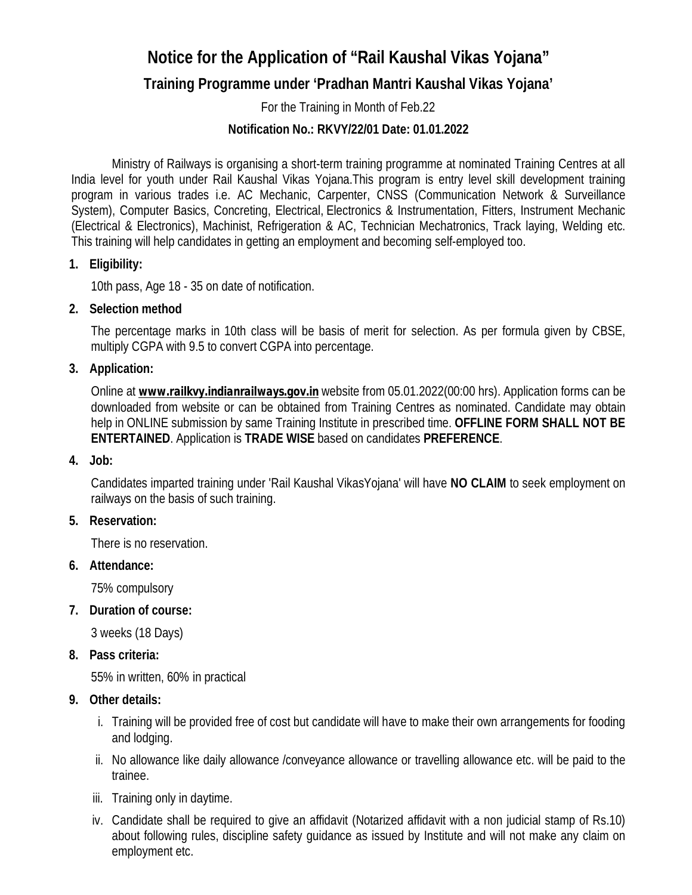# **Notice for the Application of "Rail Kaushal Vikas Yojana"**

## **Training Programme under 'Pradhan Mantri Kaushal Vikas Yojana'**

For the Training in Month of Feb.22

## **Notification No.: RKVY/22/01 Date: 01.01.2022**

Ministry of Railways is organising a short-term training programme at nominated Training Centres at all India level for youth under Rail Kaushal Vikas Yojana.This program is entry level skill development training program in various trades i.e. AC Mechanic, Carpenter, CNSS (Communication Network & Surveillance System), Computer Basics, Concreting, Electrical, Electronics & Instrumentation, Fitters, Instrument Mechanic (Electrical & Electronics), Machinist, Refrigeration & AC, Technician Mechatronics, Track laying, Welding etc. This training will help candidates in getting an employment and becoming self-employed too.

## **1. Eligibility:**

10th pass, Age 18 - 35 on date of notification.

## **2. Selection method**

The percentage marks in 10th class will be basis of merit for selection. As per formula given by CBSE, multiply CGPA with 9.5 to convert CGPA into percentage.

## **3. Application:**

Online at *[www.railkvy.indianrailways.gov.in](http://www.railkvy.indianrailways.gov.in)* website from 05.01.2022(00:00 hrs). Application forms can be downloaded from website or can be obtained from Training Centres as nominated. Candidate may obtain help in ONLINE submission by same Training Institute in prescribed time. **OFFLINE FORM SHALL NOT BE ENTERTAINED**. Application is **TRADE WISE** based on candidates **PREFERENCE**.

#### **4. Job:**

Candidates imparted training under 'Rail Kaushal VikasYojana' will have **NO CLAIM** to seek employment on railways on the basis of such training.

#### **5. Reservation:**

There is no reservation.

## **6. Attendance:**

75% compulsory

#### **7. Duration of course:**

3 weeks (18 Days)

## **8. Pass criteria:**

55% in written, 60% in practical

#### **9. Other details:**

- i. Training will be provided free of cost but candidate will have to make their own arrangements for fooding and lodging.
- ii. No allowance like daily allowance /conveyance allowance or travelling allowance etc. will be paid to the trainee.
- iii. Training only in daytime.
- iv. Candidate shall be required to give an affidavit (Notarized affidavit with a non judicial stamp of Rs.10) about following rules, discipline safety guidance as issued by Institute and will not make any claim on employment etc.